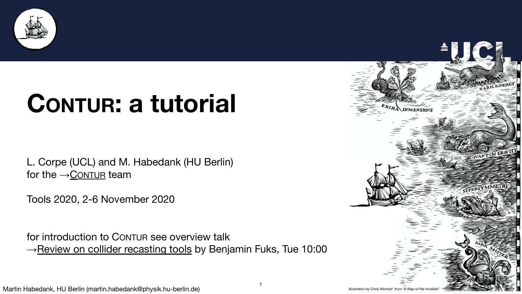

L. Corpe (UCL) and M. Habedank (HU Berlin) for the  $\rightarrow$  C[ONTUR](https://hepcedar.gitlab.io/contur-webpage/) team

for introduction to CONTUR see overview talk →[Review on collider recasting tools](https://indico.cern.ch/event/955391/contributions/4075499/) by Benjamin Fuks, Tue 10:00



## **CONTUR: a tutorial**

Tools 2020, 2-6 November 2020



**TITTE**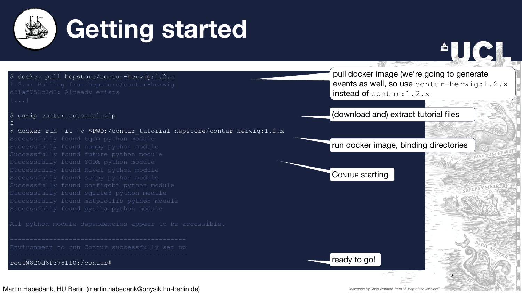

 $\varsigma$ 

\$ docker pull hepstore/contur-herwig:1.2.x 1.2.x: Pulling from hepstore/contur-herwig d51af753c3d3: Already exists [...]

\$ unzip contur tutorial.zip

```
$ docker run -it -v $PWD:/contur tutorial hepstore/contur-herwig:1.2.x
Successfully found tqdm python module
Successfully found numpy python module
Successfully found future python module
Successfully found YODA python module
Successfully found Rivet python module
Successfully found scipy python module
Successfully found configobj python module
Successfully found sqlite3 python module
Successfully found matplotlib python module
Successfully found pyslha python module
All python module dependencies appear to be accessible.
Environment to run Contur successfully set up
root@820d6f3781f0:/contur#
```
## **Getting started**

pull docker image (we're going to generate events as well, so use contur-herwig: 1.2.x instead of contur:1.2.x



## (download and) extract tutorial files

CONTUR starting



*Illustration by Chris Wormell from "A Map of the Invisible"*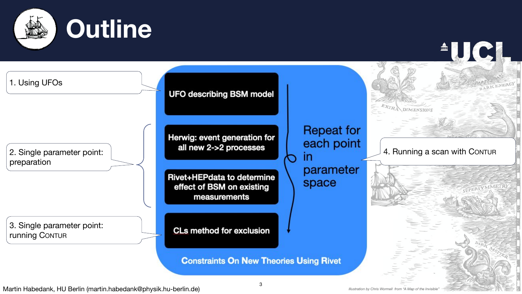

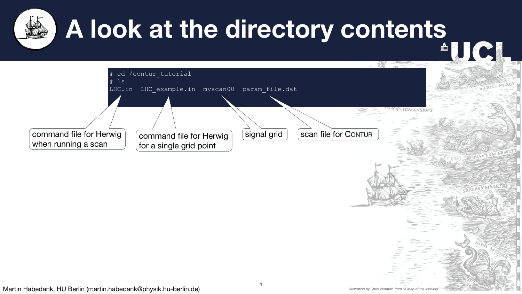*Illustration by Chris Wormell from "A Map of the Invisibl* 

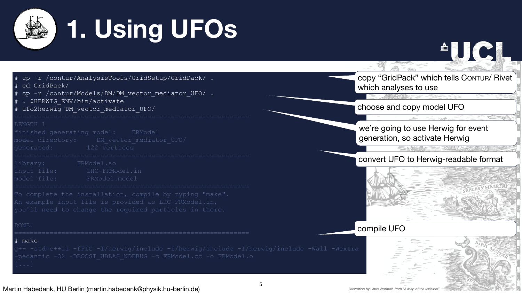

# cp -r /contur/AnalysisTools/GridSetup/GridPack/ . cd GridPack/

cp -r /contur/Models/DM/DM vector mediator UFO/ .

. \$HERWIG ENV/bin/activate

ufo2herwig DM vector mediator UFO/

LENGTH<sub>1</sub>

*Illustration by Chris Wormell from "A Map of the Invisible"*

## **1. Using UFOs**

finished generating model: FRModel model directory: DM vector mediator UFO/ generated: 122 vertices

# make g++ -std=c++11 -fPIC -I/herwig/include -I/herwig/include -I/herwig/include -Wall -Wextra -pedantic -O2 -DBOOST UBLAS NDEBUG -c FRModel.cc -o FRModel.o

library: FRModel.so input file: LHC-FRModel.in model file: FRModel.model

To complete the installation, compile by typing "make". An example input file is provided as LHC-FRModel.in, you'll need to change the required particles in there.

DONE!

copy "GridPack" which tells CONTUR/ Rivet which analyses to use

#### choose and copy model UFO

we're going to use Herwig for event generation, so activate Herwig

#### convert UFO to Herwig-readable format



#### compile UFO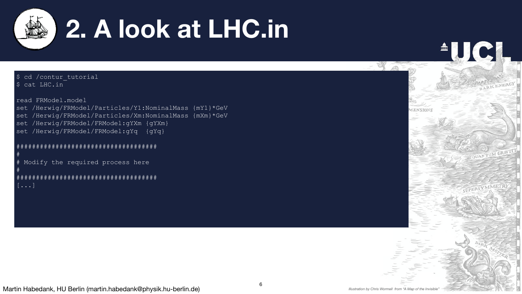

AUC1

*Illustration by Chris Wormell from "A Map of the Invisible"* 



## **2. A look at LHC.in**

| ș cd / contur tutorial                                    |
|-----------------------------------------------------------|
| \$ cat LHC.in                                             |
|                                                           |
| read FRModel.model                                        |
| set /Herwig/FRModel/Particles/Y1:NominalMass {mY1}*GeV    |
| /Herwig/FRModel/Particles/Xm:NominalMass {mXm}*GeV<br>set |
| set /Herwig/FRModel/FRModel:gYXm {gYXm}                   |
| set /Herwig/FRModel/FRModel:gYq {qYq}                     |
| #                                                         |
| #<br>Modify the required process here                     |
| #                                                         |
|                                                           |
| $[\ldots]$                                                |
|                                                           |
|                                                           |
|                                                           |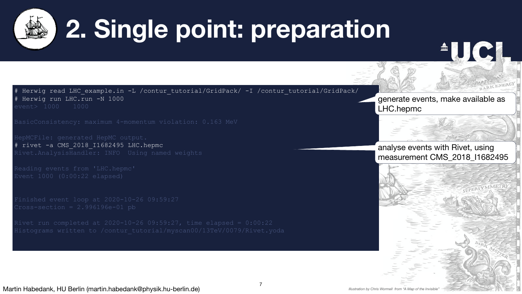

```
2. Single point: preparation
```
# Herwig read LHC example.in -L /contur tutorial/GridPack/ -I /contur tutorial/GridPack/ Herwig run LHC.run -N 1000 event> 1000 1000

Reading events from 'LHC.hepmc' Event 1000 (0:00:22 elapsed)

Finished event loop at 2020-10-26 09:59:27  $Cross-section = 2.996196e-01 pb$ 

BasicConsistency: maximum 4-momentum violation: 0.163 MeV

Rivet run completed at  $2020-10-26$  09:59:27, time elapsed =  $0:00:22$ Histograms written to /contur\_tutorial/myscan00/13TeV/0079/Rivet.yoda

HepMCFile: generated HepMC output. # rivet -a CMS\_2018\_I1682495 LHC.hepmc Rivet.AnalysisHandler: INFO Using named weights

## generate events, make available as LHC.hepmc

## analyse events with Rivet, using measurement CMS\_2018\_I1682495

*Illustration by Chris Wormell from "A Map of the Invisible*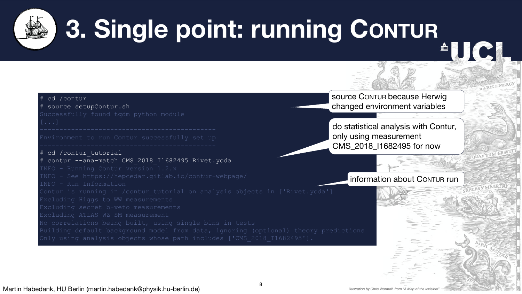

**3. Single point: running CONTUR**

```
cd /contur
# source setupContur.sh
Successfully found tqdm python module
Environment to run Contur successfully set up
# cd /contur tutorial
# contur --ana-match CMS 2018 I1682495 Rivet.yoda
INFO - Running Contur version 1.2.x
INFO - See https://hepcedar.gitlab.io/contur-webpage/
INFO - Run Information
Contur is running in /contur tutorial on analysis objects in ['Rivet.yoda']
Excluding Higgs to WW measurements
Excluding secret b-veto measurements
Excluding ATLAS WZ SM measurement
No correlations being built, using single bins in tests
Building default background model from data, ignoring (optional) theory predictions
Only using analysis objects whose path includes ['CMS 2018 I1682495'].
```
do statistical analysis with Contur, only using measurement CMS\_2018\_I1682495 for now

source CONTUR because Herwig changed environment variables

information about CONTUR run

*Illustration by Chris Wormell from "A Map of the Invisible*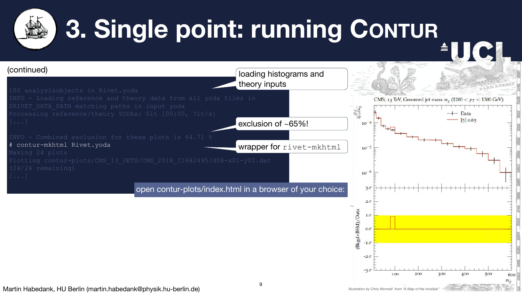100 analysisobjects in Rivet.yoda INFO - Loading reference and theory data from all yoda files in \$RIVET\_DATA\_PATH matching paths in input yoda Processing reference/theory YODAs: 0it [00:00, ?it/s]



*Illustration by Chris Wormell from "A Map of the Invisible"* 



INFO - Combined exclusion for these plots is 64.71 % # contur-mkhtml Rivet.yoda Making 24 plots Plotting contur-plots/CMS 13 JETS/CMS 2018 I1682495/d08-x01-y01.dat (24/24 remaining)

# **3. Single point: running CONTUR 4UCL**

## (continued)

open contur-plots/index.html in a browser of your choice: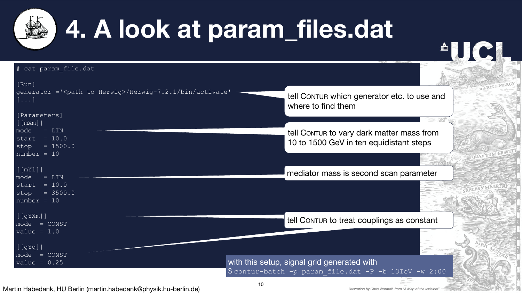```
[Run]
generator ='<path to Herwig>/Herwig-7.2.1/bin/activate'
[...]
[Parameters]
[[mXm]]
mode = LINstart = 10.0stop = 1500.0number = 10[[mY1]]
mode = LINstart = 10.0stop = 3500.0number = 10[[gYXm]]
mode = CONST
value = 1.0\overline{\mathfrak{l}} [gYq]]
mode = CONST
value = 0.25 and the setup, signal grid generated with this setup, signal grid generated with
```




# cat param file.dat

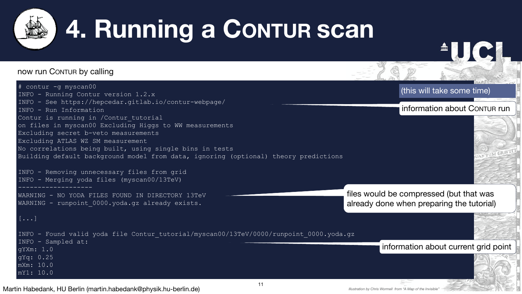

# **4. Running a CONTUR scan**

## now run CONTUR by calling

```
# contur -g myscan00
INFO - Running Contur version 1.2.x
INFO - See https://hepcedar.gitlab.io/contur-webpage/
INFO - Run Information
Contur is running in /Contur tutorial
on files in myscan00 Excluding Higgs to WW measurements
Excluding secret b-veto measurements
Excluding ATLAS WZ SM measurement
No correlations being built, using single bins in tests
Building default background model from data, ignoring (optional) theory predictions
INFO - Removing unnecessary files from grid
INFO - Merging yoda files (myscan00/13TeV)
-------------------
WARNING - NO YODA FILES FOUND IN DIRECTORY 13TeV
WARNING - runpoint 0000.yoda.gz already exists.
[...]
INFO - Found valid yoda file Contur_tutorial/myscan00/13TeV/0000/runpoint_0000.yoda.gz
INFO - Sampled at:
gYXm: 1.0
gYq: 0.25
mXm: 10.0
mY1: 10.0
```
### information about CONTUR run

files would be compressed (but that was already done when preparing the tutorial)

#### information about current grid point

## (this will take some time)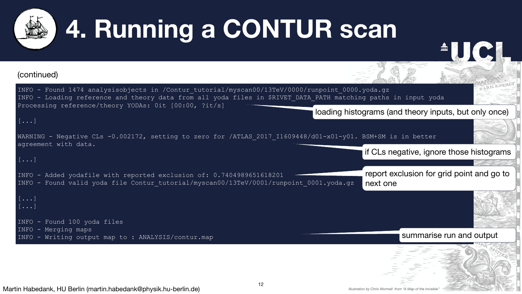



## (continued)

INFO - Found 1474 analysisobjects in /Contur\_tutorial/myscan00/13TeV/0000/runpoint\_0000.yoda.gz INFO - Loading reference and theory data from all yoda files in \$RIVET\_DATA\_PATH matching paths in input yoda Processing reference/theory YODAs: 0it [00:00, ?it/s]

[...]

WARNING - Negative CLs -0.002172, setting to zero for /ATLAS 2017 I1609448/d01-x01-y01. BSM+SM is in better agreement with data. [...] INFO - Added yodafile with reported exclusion of: 0.7404989651618201 INFO - Found valid yoda file Contur\_tutorial/myscan00/13TeV/0001/runpoint\_0001.yoda.gz if CLs negative, ignore those histograms report exclusion for grid point and go to next one

```
[...]
[...]
INFO - Found 100 yoda files
INFO - Merging maps
INFO - Writing output map to : ANALYSIS/contur.map
```
## loading histograms (and theory inputs, but only once)

## summarise run and output

*Illustration by Chris Wormell from "A Map of the Invisible*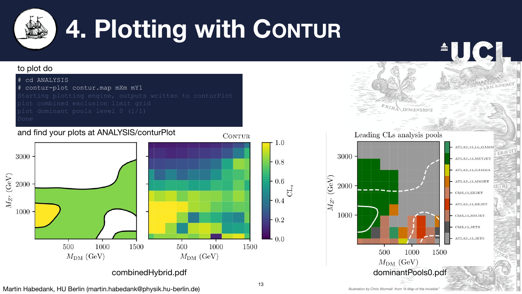

*Illustration by Chris Wormell from "A Map of the Invisible"*

# **4. Plotting with CONTUR**



plot combined exclusion limit grid plot dominant pools level 0 (1/1) Done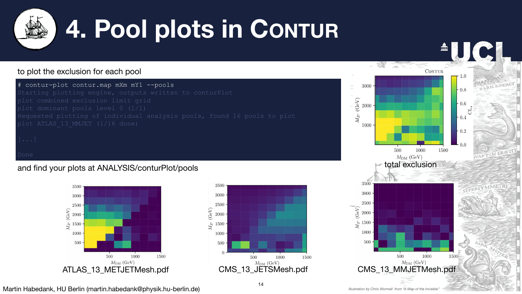AUCI

CONTUR

*Illustration by Chris Wormell from "A Map of the Invisible"* 





### to plot the exclusion for each pool



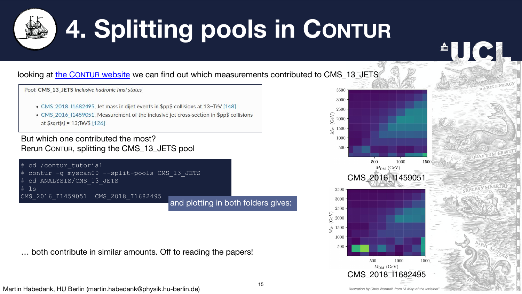*Illustration by Chris Wormell from "A Map of the Invisible"* 





| Pool: CMS_13_JETS Inclusive hadronic final states |  |  |  |  |
|---------------------------------------------------|--|--|--|--|
|---------------------------------------------------|--|--|--|--|

- 
- at  $$sqrt{s}$  = 13;TeV\$ [126]